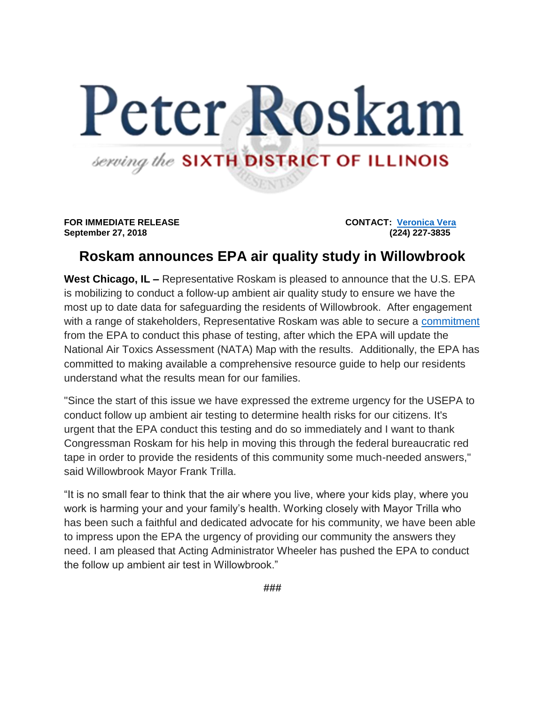## Peter Roskam serving the SIXTH DISTRICT OF ILLINOIS

**FOR IMMEDIATE RELEASE CONTACT: [Veronica Vera](mailto:veronica.vera@mail.house.gov) September 27, 2018 (224) 227-3835** 

## **Roskam announces EPA air quality study in Willowbrook**

**West Chicago, IL –** Representative Roskam is pleased to announce that the U.S. EPA is mobilizing to conduct a follow-up ambient air quality study to ensure we have the most up to date data for safeguarding the residents of Willowbrook. After engagement with a range of stakeholders, Representative Roskam was able to secure a [commitment](https://roskam.house.gov/sites/roskam.house.gov/files/documents/Signed%20Response%20to%20Hon.%20Peter%20Roskam%20--%20OAR-18-001-1156.pdf) from the EPA to conduct this phase of testing, after which the EPA will update the National Air Toxics Assessment (NATA) Map with the results. Additionally, the EPA has committed to making available a comprehensive resource guide to help our residents understand what the results mean for our families.

"Since the start of this issue we have expressed the extreme urgency for the USEPA to conduct follow up ambient air testing to determine health risks for our citizens. It's urgent that the EPA conduct this testing and do so immediately and I want to thank Congressman Roskam for his help in moving this through the federal bureaucratic red tape in order to provide the residents of this community some much-needed answers," said Willowbrook Mayor Frank Trilla.

"It is no small fear to think that the air where you live, where your kids play, where you work is harming your and your family's health. Working closely with Mayor Trilla who has been such a faithful and dedicated advocate for his community, we have been able to impress upon the EPA the urgency of providing our community the answers they need. I am pleased that Acting Administrator Wheeler has pushed the EPA to conduct the follow up ambient air test in Willowbrook."